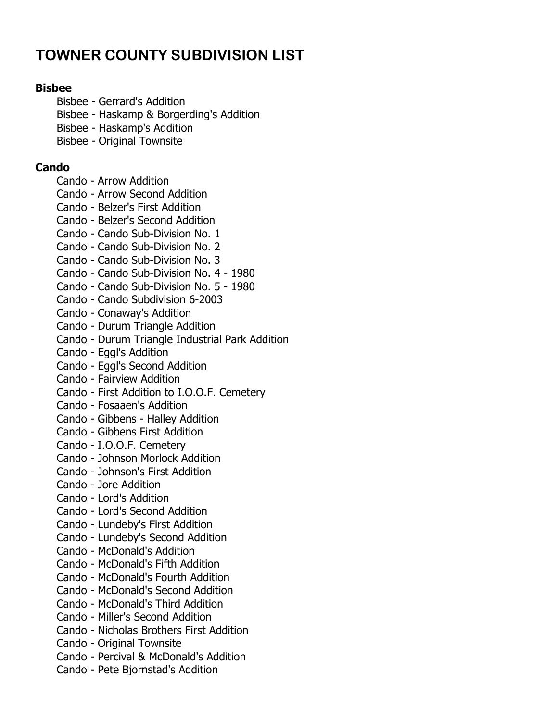# TOWNER COUNTY SUBDIVISION LIST

# Bisbee

- Bisbee Gerrard's Addition
- Bisbee Haskamp & Borgerding's Addition
- Bisbee Haskamp's Addition
- Bisbee Original Townsite

# Cando

- Cando Arrow Addition
- Cando Arrow Second Addition
- Cando Belzer's First Addition
- Cando Belzer's Second Addition
- Cando Cando Sub-Division No. 1
- Cando Cando Sub-Division No. 2
- Cando Cando Sub-Division No. 3
- Cando Cando Sub-Division No. 4 1980
- Cando Cando Sub-Division No. 5 1980
- Cando Cando Subdivision 6-2003
- Cando Conaway's Addition
- Cando Durum Triangle Addition
- Cando Durum Triangle Industrial Park Addition
- Cando Eggl's Addition
- Cando Eggl's Second Addition
- Cando Fairview Addition
- Cando First Addition to I.O.O.F. Cemetery
- Cando Fosaaen's Addition
- Cando Gibbens Halley Addition
- Cando Gibbens First Addition
- Cando I.O.O.F. Cemetery
- Cando Johnson Morlock Addition
- Cando Johnson's First Addition
- Cando Jore Addition
- Cando Lord's Addition
- Cando Lord's Second Addition
- Cando Lundeby's First Addition
- Cando Lundeby's Second Addition
- Cando McDonald's Addition
- Cando McDonald's Fifth Addition
- Cando McDonald's Fourth Addition
- Cando McDonald's Second Addition
- Cando McDonald's Third Addition
- Cando Miller's Second Addition
- Cando Nicholas Brothers First Addition
- Cando Original Townsite
- Cando Percival & McDonald's Addition
- Cando Pete Bjornstad's Addition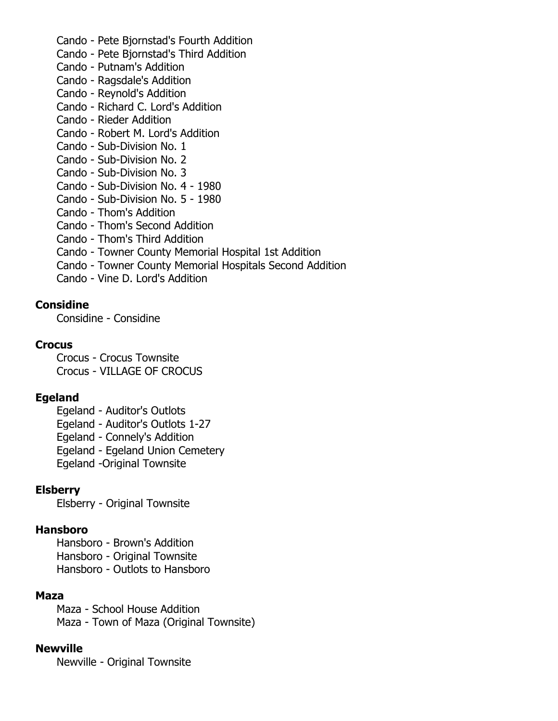- Cando Pete Bjornstad's Fourth Addition
- Cando Pete Bjornstad's Third Addition
- Cando Putnam's Addition
- Cando Ragsdale's Addition
- Cando Reynold's Addition
- Cando Richard C. Lord's Addition
- Cando Rieder Addition
- Cando Robert M. Lord's Addition
- Cando Sub-Division No. 1
- Cando Sub-Division No. 2
- Cando Sub-Division No. 3
- Cando Sub-Division No. 4 1980
- Cando Sub-Division No. 5 1980
- Cando Thom's Addition
- Cando Thom's Second Addition
- Cando Thom's Third Addition
- Cando Towner County Memorial Hospital 1st Addition
- Cando Towner County Memorial Hospitals Second Addition
- Cando Vine D. Lord's Addition

#### **Considine**

Considine - Considine

#### **Crocus**

Crocus - Crocus Townsite Crocus - VILLAGE OF CROCUS

# Egeland

- Egeland Auditor's Outlots
- Egeland Auditor's Outlots 1-27
- Egeland Connely's Addition
- Egeland Egeland Union Cemetery
- Egeland -Original Townsite

#### Elsberry

Elsberry - Original Townsite

#### Hansboro

Hansboro - Brown's Addition Hansboro - Original Townsite Hansboro - Outlots to Hansboro

#### Maza

Maza - School House Addition Maza - Town of Maza (Original Townsite)

#### Newville

Newville - Original Townsite